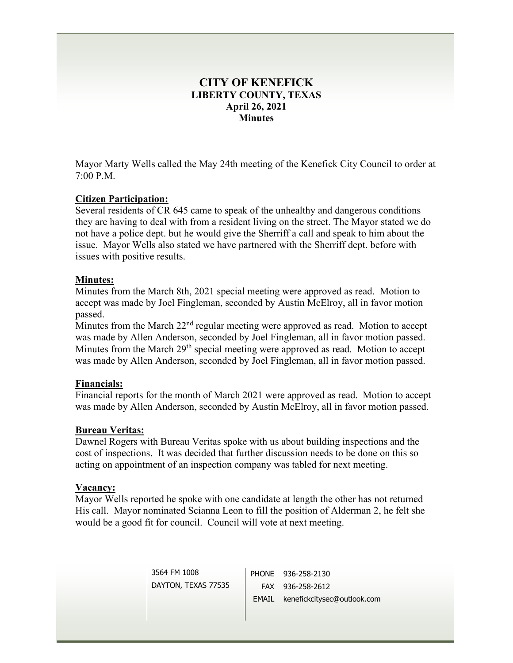# **CITY OF KENEFICK LIBERTY COUNTY, TEXAS April 26, 2021 Minutes**

Mayor Marty Wells called the May 24th meeting of the Kenefick City Council to order at 7:00 P.M.

# **Citizen Participation:**

Several residents of CR 645 came to speak of the unhealthy and dangerous conditions they are having to deal with from a resident living on the street. The Mayor stated we do not have a police dept. but he would give the Sherriff a call and speak to him about the issue. Mayor Wells also stated we have partnered with the Sherriff dept. before with issues with positive results.

# **Minutes:**

Minutes from the March 8th, 2021 special meeting were approved as read. Motion to accept was made by Joel Fingleman, seconded by Austin McElroy, all in favor motion passed.

Minutes from the March 22<sup>nd</sup> regular meeting were approved as read. Motion to accept was made by Allen Anderson, seconded by Joel Fingleman, all in favor motion passed. Minutes from the March 29<sup>th</sup> special meeting were approved as read. Motion to accept was made by Allen Anderson, seconded by Joel Fingleman, all in favor motion passed.

# **Financials:**

Financial reports for the month of March 2021 were approved as read. Motion to accept was made by Allen Anderson, seconded by Austin McElroy, all in favor motion passed.

# **Bureau Veritas:**

Dawnel Rogers with Bureau Veritas spoke with us about building inspections and the cost of inspections. It was decided that further discussion needs to be done on this so acting on appointment of an inspection company was tabled for next meeting.

# **Vacancy:**

Mayor Wells reported he spoke with one candidate at length the other has not returned His call. Mayor nominated Scianna Leon to fill the position of Alderman 2, he felt she would be a good fit for council. Council will vote at next meeting.

> 3564 FM 1008 DAYTON, TEXAS 77535 PHONE 936-258-2130 FAX 936-258-2612 EMAIL kenefickcitysec@outlook.com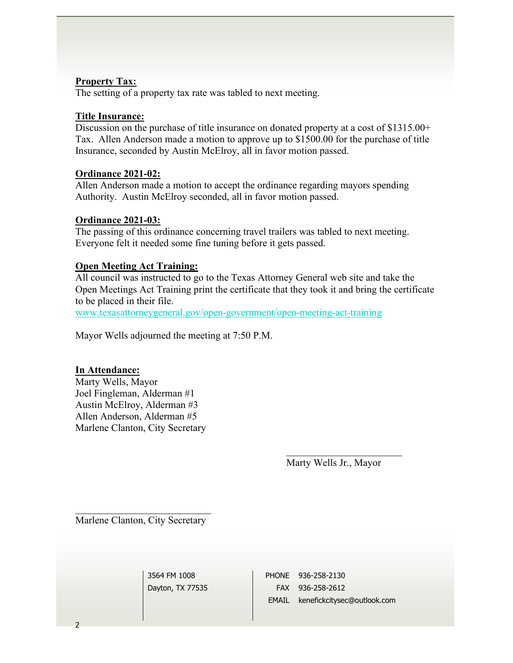#### **Property Tax:**

The setting of a property tax rate was tabled to next meeting.

#### **Title Insurance:**

Discussion on the purchase of title insurance on donated property at a cost of \$1315.00+ Tax. Allen Anderson made a motion to approve up to \$1500.00 for the purchase of title Insurance, seconded by Austin McElroy, all in favor motion passed.

#### **Ordinance 2021-02:**

Allen Anderson made a motion to accept the ordinance regarding mayors spending Authority. Austin McElroy seconded, all in favor motion passed.

#### **Ordinance 2021-03:**

The passing of this ordinance concerning travel trailers was tabled to next meeting. Everyone felt it needed some fine tuning before it gets passed.

# **Open Meeting Act Training:**

All council was instructed to go to the Texas Attorney General web site and take the Open Meetings Act Training print the certificate that they took it and bring the certificate to be placed in their file.

[www.texasattorneygeneral.gov/open-government/open-meeting-act-training](http://www.texasattorneygeneral.gov/open-government/open-meeting-act-training)

Mayor Wells adjourned the meeting at 7:50 P.M.

# **In Attendance:**

Marty Wells, Mayor Joel Fingleman, Alderman #1 Austin McElroy, Alderman #3 Allen Anderson, Alderman #5 Marlene Clanton, City Secretary

Marty Wells Jr., Mayor

Marlene Clanton, City Secretary

3564 FM 1008 Dayton, TX 77535

PHONE 936-258-2130 FAX 936-258-2612 EMAIL kenefickcitysec@outlook.com

 $\overline{2}$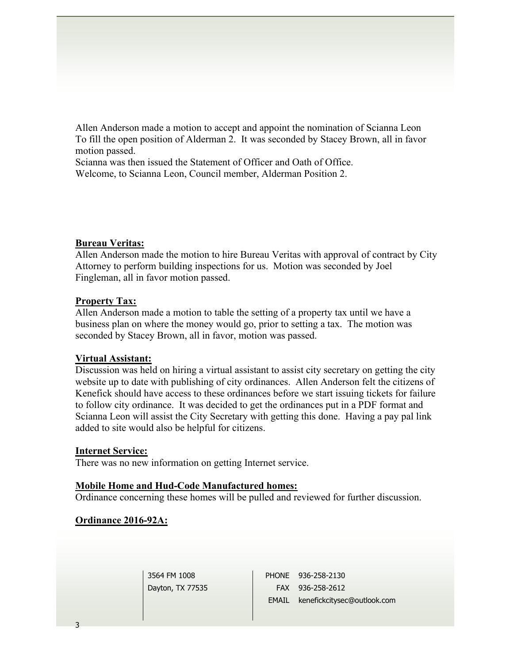Allen Anderson made a motion to accept and appoint the nomination of Scianna Leon To fill the open position of Alderman 2. It was seconded by Stacey Brown, all in favor motion passed.

Scianna was then issued the Statement of Officer and Oath of Office. Welcome, to Scianna Leon, Council member, Alderman Position 2.

#### **Bureau Veritas:**

Allen Anderson made the motion to hire Bureau Veritas with approval of contract by City Attorney to perform building inspections for us. Motion was seconded by Joel Fingleman, all in favor motion passed.

#### **Property Tax:**

Allen Anderson made a motion to table the setting of a property tax until we have a business plan on where the money would go, prior to setting a tax. The motion was seconded by Stacey Brown, all in favor, motion was passed.

#### **Virtual Assistant:**

Discussion was held on hiring a virtual assistant to assist city secretary on getting the city website up to date with publishing of city ordinances. Allen Anderson felt the citizens of Kenefick should have access to these ordinances before we start issuing tickets for failure to follow city ordinance. It was decided to get the ordinances put in a PDF format and Scianna Leon will assist the City Secretary with getting this done. Having a pay pal link added to site would also be helpful for citizens.

#### **Internet Service:**

There was no new information on getting Internet service.

# **Mobile Home and Hud-Code Manufactured homes:**

Ordinance concerning these homes will be pulled and reviewed for further discussion.

# **Ordinance 2016-92A:**

3564 FM 1008 Dayton, TX 77535 PHONE 936-258-2130 FAX 936-258-2612 EMAIL kenefickcitysec@outlook.com

3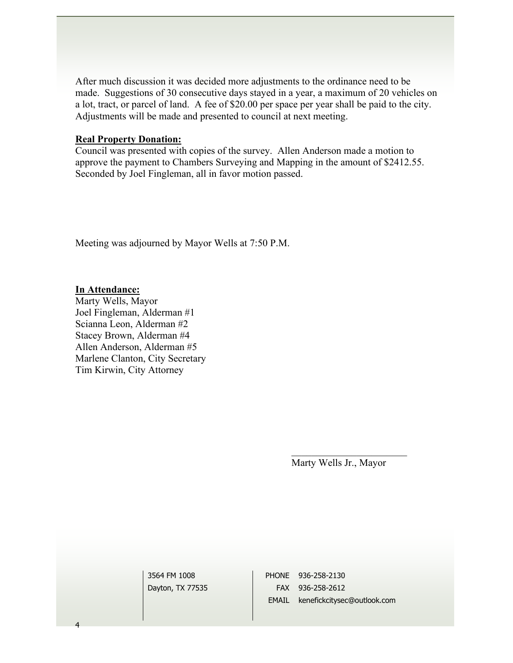After much discussion it was decided more adjustments to the ordinance need to be made. Suggestions of 30 consecutive days stayed in a year, a maximum of 20 vehicles on a lot, tract, or parcel of land. A fee of \$20.00 per space per year shall be paid to the city. Adjustments will be made and presented to council at next meeting.

#### **Real Property Donation:**

Council was presented with copies of the survey. Allen Anderson made a motion to approve the payment to Chambers Surveying and Mapping in the amount of \$2412.55. Seconded by Joel Fingleman, all in favor motion passed.

Meeting was adjourned by Mayor Wells at 7:50 P.M.

# **In Attendance:**

Marty Wells, Mayor Joel Fingleman, Alderman #1 Scianna Leon, Alderman #2 Stacey Brown, Alderman #4 Allen Anderson, Alderman #5 Marlene Clanton, City Secretary Tim Kirwin, City Attorney

Marty Wells Jr., Mayor

3564 FM 1008 Dayton, TX 77535

PHONE 936-258-2130 FAX 936-258-2612 EMAIL kenefickcitysec@outlook.com

4